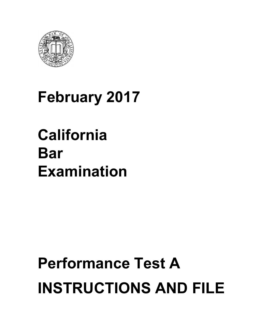

## **February 2017**

## **California Bar Examination**

# **Performance Test A INSTRUCTIONS AND FILE**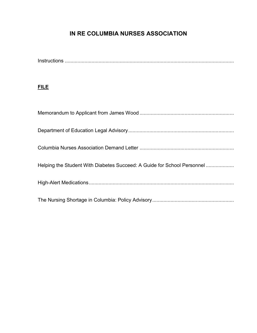## **IN RE COLUMBIA NURSES ASSOCIATION**

Instructions ........................................................................................................................

## **FILE**

| Helping the Student With Diabetes Succeed: A Guide for School Personnel |
|-------------------------------------------------------------------------|
|                                                                         |
|                                                                         |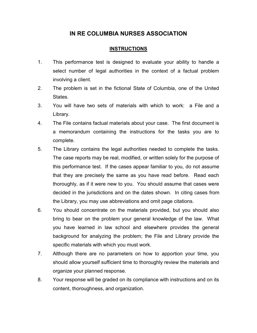#### **IN RE COLUMBIA NURSES ASSOCIATION**

#### **INSTRUCTIONS**

- 1. This performance test is designed to evaluate your ability to handle a select number of legal authorities in the context of a factual problem involving a client.
- 2. The problem is set in the fictional State of Columbia, one of the United States.
- 3. You will have two sets of materials with which to work: a File and a Library.
- 4. The File contains factual materials about your case. The first document is a memorandum containing the instructions for the tasks you are to complete.
- 5. The Library contains the legal authorities needed to complete the tasks. The case reports may be real, modified, or written solely for the purpose of this performance test. If the cases appear familiar to you, do not assume that they are precisely the same as you have read before. Read each thoroughly, as if it were new to you. You should assume that cases were decided in the jurisdictions and on the dates shown. In citing cases from the Library, you may use abbreviations and omit page citations.
- 6. You should concentrate on the materials provided, but you should also bring to bear on the problem your general knowledge of the law. What you have learned in law school and elsewhere provides the general background for analyzing the problem; the File and Library provide the specific materials with which you must work.
- 7. Although there are no parameters on how to apportion your time, you should allow yourself sufficient time to thoroughly review the materials and organize your planned response.
- 8. Your response will be graded on its compliance with instructions and on its content, thoroughness, and organization.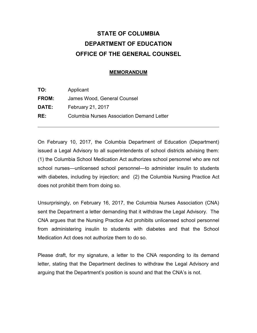## **STATE OF COLUMBIA DEPARTMENT OF EDUCATION OFFICE OF THE GENERAL COUNSEL**

#### **MEMORANDUM**

| TO:          | Applicant                                        |
|--------------|--------------------------------------------------|
| <b>FROM:</b> | James Wood, General Counsel                      |
| <b>DATE:</b> | <b>February 21, 2017</b>                         |
| RE:          | <b>Columbia Nurses Association Demand Letter</b> |

On February 10, 2017, the Columbia Department of Education (Department) issued a Legal Advisory to all superintendents of school districts advising them: (1) the Columbia School Medication Act authorizes school personnel who are not school nurses—unlicensed school personnel—to administer insulin to students with diabetes, including by injection; and (2) the Columbia Nursing Practice Act does not prohibit them from doing so.

Unsurprisingly, on February 16, 2017, the Columbia Nurses Association (CNA) sent the Department a letter demanding that it withdraw the Legal Advisory. The CNA argues that the Nursing Practice Act prohibits unlicensed school personnel from administering insulin to students with diabetes and that the School Medication Act does not authorize them to do so.

Please draft, for my signature, a letter to the CNA responding to its demand letter, stating that the Department declines to withdraw the Legal Advisory and arguing that the Department's position is sound and that the CNA's is not.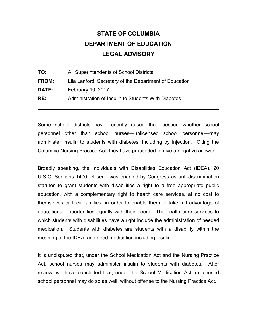## **STATE OF COLUMBIA DEPARTMENT OF EDUCATION LEGAL ADVISORY**

| TO:          | All Superintendents of School Districts                |
|--------------|--------------------------------------------------------|
| FROM:        | Lila Lanford, Secretary of the Department of Education |
| <b>DATE:</b> | February 10, 2017                                      |
| RE:          | Administration of Insulin to Students With Diabetes    |
|              |                                                        |

Some school districts have recently raised the question whether school personnel other than school nurses—unlicensed school personnel—may administer insulin to students with diabetes, including by injection. Citing the Columbia Nursing Practice Act, they have proceeded to give a negative answer.

Broadly speaking, the Individuals with Disabilities Education Act (IDEA), 20 U.S.C. Sections 1400, et seq., was enacted by Congress as anti-discrimination statutes to grant students with disabilities a right to a free appropriate public education, with a complementary right to health care services, at no cost to themselves or their families, in order to enable them to take full advantage of educational opportunities equally with their peers. The health care services to which students with disabilities have a right include the administration of needed medication. Students with diabetes are students with a disability within the meaning of the IDEA, and need medication including insulin.

It is undisputed that, under the School Medication Act and the Nursing Practice Act, school nurses may administer insulin to students with diabetes. After review, we have concluded that, under the School Medication Act, unlicensed school personnel may do so as well, without offense to the Nursing Practice Act.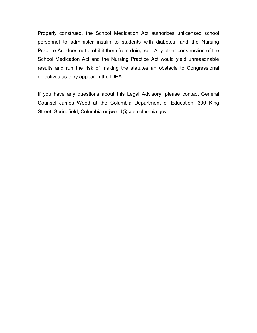Properly construed, the School Medication Act authorizes unlicensed school personnel to administer insulin to students with diabetes, and the Nursing Practice Act does not prohibit them from doing so. Any other construction of the School Medication Act and the Nursing Practice Act would yield unreasonable results and run the risk of making the statutes an obstacle to Congressional objectives as they appear in the IDEA.

If you have any questions about this Legal Advisory, please contact General Counsel James Wood at the Columbia Department of Education, 300 King Street, Springfield, Columbia or jwood@cde.columbia.gov.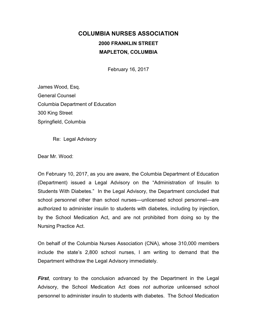## **COLUMBIA NURSES ASSOCIATION 2000 FRANKLIN STREET MAPLETON, COLUMBIA**

February 16, 2017

James Wood, Esq. General Counsel Columbia Department of Education 300 King Street Springfield, Columbia

Re: Legal Advisory

Dear Mr. Wood:

On February 10, 2017, as you are aware, the Columbia Department of Education (Department) issued a Legal Advisory on the "Administration of Insulin to Students With Diabetes." In the Legal Advisory, the Department concluded that school personnel other than school nurses—unlicensed school personnel—are authorized to administer insulin to students with diabetes, including by injection, by the School Medication Act, and are not prohibited from doing so by the Nursing Practice Act.

On behalf of the Columbia Nurses Association (CNA), whose 310,000 members include the state's 2,800 school nurses, I am writing to demand that the Department withdraw the Legal Advisory immediately.

*First*, contrary to the conclusion advanced by the Department in the Legal Advisory, the School Medication Act does *not* authorize unlicensed school personnel to administer insulin to students with diabetes. The School Medication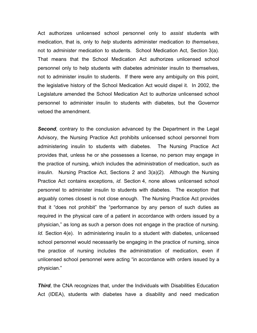Act authorizes unlicensed school personnel only to *assist* students with medication, that is, only to *help* students administer medication *to themselves*, not to *administer* medication to students. School Medication Act, Section 3(a). That means that the School Medication Act authorizes unlicensed school personnel only to help students with diabetes administer insulin to themselves, not to administer insulin to students. If there were any ambiguity on this point, the legislative history of the School Medication Act would dispel it. In 2002, the Legislature amended the School Medication Act to authorize unlicensed school personnel to administer insulin to students with diabetes, but the Governor vetoed the amendment.

**Second**, contrary to the conclusion advanced by the Department in the Legal Advisory, the Nursing Practice Act prohibits unlicensed school personnel from administering insulin to students with diabetes. The Nursing Practice Act provides that, unless he or she possesses a license, no person may engage in the practice of nursing, which includes the administration of medication, such as insulin. Nursing Practice Act, Sections 2 and 3(a)(2). Although the Nursing Practice Act contains exceptions, *id.* Section 4, none allows unlicensed school personnel to administer insulin to students with diabetes. The exception that arguably comes closest is not close enough. The Nursing Practice Act provides that it "does not prohibit" the "performance by any person of such duties as required in the physical care of a patient in accordance with orders issued by a physician," as long as such a person does not engage in the practice of nursing. *Id.* Section 4(e). In administering insulin to a student with diabetes, unlicensed school personnel would necessarily be engaging in the practice of nursing, since the practice of nursing includes the administration of medication, even if unlicensed school personnel were acting "in accordance with orders issued by a physician."

**Third**, the CNA recognizes that, under the Individuals with Disabilities Education Act (IDEA), students with diabetes have a disability and need medication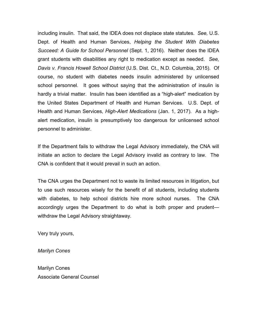including insulin. That said, the IDEA does not displace state statutes. *See,* U.S. Dept. of Health and Human Services, *Helping the Student With Diabetes Succeed: A Guide for School Personnel* (Sept. 1, 2016). Neither does the IDEA grant students with disabilities any right to medication except as needed. *See, Davis v. Francis Howell School District* (U.S. Dist. Ct., N.D. Columbia, 2015). Of course, no student with diabetes needs insulin administered by unlicensed school personnel. It goes without saying that the administration of insulin is hardly a trivial matter. Insulin has been identified as a "high-alert" medication by the United States Department of Health and Human Services. U.S. Dept. of Health and Human Services, *High-Alert Medications* (Jan. 1, 2017). As a highalert medication, insulin is presumptively too dangerous for unlicensed school personnel to administer.

If the Department fails to withdraw the Legal Advisory immediately, the CNA will initiate an action to declare the Legal Advisory invalid as contrary to law. The CNA is confident that it would prevail in such an action.

The CNA urges the Department not to waste its limited resources in litigation, but to use such resources wisely for the benefit of all students, including students with diabetes, to help school districts hire more school nurses. The CNA accordingly urges the Department to do what is both proper and prudent withdraw the Legal Advisory straightaway.

Very truly yours,

*Marilyn Cones*

Marilyn Cones Associate General Counsel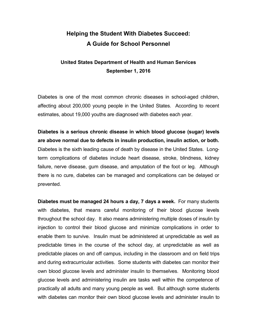## **Helping the Student With Diabetes Succeed: A Guide for School Personnel**

### **United States Department of Health and Human Services September 1, 2016**

Diabetes is one of the most common chronic diseases in school-aged children, affecting about 200,000 young people in the United States. According to recent estimates, about 19,000 youths are diagnosed with diabetes each year.

**Diabetes is a serious chronic disease in which blood glucose (sugar) levels are above normal due to defects in insulin production, insulin action, or both.** Diabetes is the sixth leading cause of death by disease in the United States. Longterm complications of diabetes include heart disease, stroke, blindness, kidney failure, nerve disease, gum disease, and amputation of the foot or leg. Although there is no cure, diabetes can be managed and complications can be delayed or prevented.

**Diabetes must be managed 24 hours a day, 7 days a week.** For many students with diabetes, that means careful monitoring of their blood glucose levels throughout the school day. It also means administering multiple doses of insulin by injection to control their blood glucose and minimize complications in order to enable them to survive. Insulin must be administered at unpredictable as well as predictable times in the course of the school day, at unpredictable as well as predictable places on and off campus, including in the classroom and on field trips and during extracurricular activities. Some students with diabetes can monitor their own blood glucose levels and administer insulin to themselves. Monitoring blood glucose levels and administering insulin are tasks well within the competence of practically all adults and many young people as well. But although some students with diabetes can monitor their own blood glucose levels and administer insulin to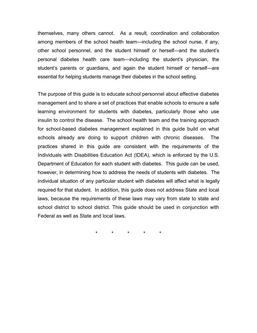themselves, many others cannot. As a result, coordination and collaboration among members of the school health team—including the school nurse, if any, other school personnel, and the student himself or herself—and the student's personal diabetes health care team—including the student's physician, the student's parents or guardians, and again the student himself or herself—are essential for helping students manage their diabetes in the school setting.

The purpose of this guide is to educate school personnel about effective diabetes management and to share a set of practices that enable schools to ensure a safe learning environment for students with diabetes, particularly those who use insulin to control the disease. The school health team and the training approach for school-based diabetes management explained in this guide build on what schools already are doing to support children with chronic diseases. The practices shared in this guide are consistent with the requirements of the Individuals with Disabilities Education Act (IDEA), which is enforced by the U.S. Department of Education for each student with diabetes. This guide can be used, however, in determining how to address the needs of students with diabetes. The individual situation of any particular student with diabetes will affect what is legally required for that student. In addition, this guide does not address State and local laws, because the requirements of these laws may vary from state to state and school district to school district. This guide should be used in conjunction with Federal as well as State and local laws.

\* \* \* \* \*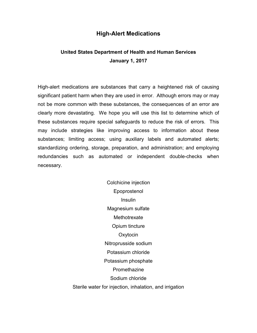#### **High-Alert Medications**

### **United States Department of Health and Human Services January 1, 2017**

High-alert medications are substances that carry a heightened risk of causing significant patient harm when they are used in error. Although errors may or may not be more common with these substances, the consequences of an error are clearly more devastating. We hope you will use this list to determine which of these substances require special safeguards to reduce the risk of errors. This may include strategies like improving access to information about these substances; limiting access; using auxiliary labels and automated alerts; standardizing ordering, storage, preparation, and administration; and employing redundancies such as automated or independent double-checks when necessary.

> Colchicine injection Epoprostenol Insulin Magnesium sulfate **Methotrexate** Opium tincture **Oxytocin** Nitroprusside sodium Potassium chloride Potassium phosphate Promethazine Sodium chloride Sterile water for injection, inhalation, and irrigation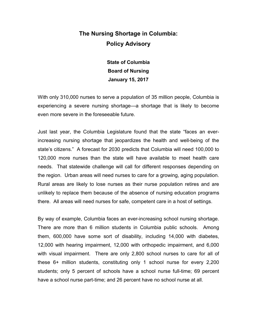## **The Nursing Shortage in Columbia: Policy Advisory**

**State of Columbia Board of Nursing January 15, 2017**

With only 310,000 nurses to serve a population of 35 million people, Columbia is experiencing a severe nursing shortage—a shortage that is likely to become even more severe in the foreseeable future.

Just last year, the Columbia Legislature found that the state "faces an everincreasing nursing shortage that jeopardizes the health and well-being of the state's citizens." A forecast for 2030 predicts that Columbia will need 100,000 to 120,000 more nurses than the state will have available to meet health care needs. That statewide challenge will call for different responses depending on the region. Urban areas will need nurses to care for a growing, aging population. Rural areas are likely to lose nurses as their nurse population retires and are unlikely to replace them because of the absence of nursing education programs there. All areas will need nurses for safe, competent care in a host of settings.

By way of example, Columbia faces an ever-increasing school nursing shortage. There are more than 6 million students in Columbia public schools. Among them, 600,000 have some sort of disability, including 14,000 with diabetes, 12,000 with hearing impairment, 12,000 with orthopedic impairment, and 6,000 with visual impairment. There are only 2,800 school nurses to care for all of these 6+ million students, constituting only 1 school nurse for every 2,200 students; only 5 percent of schools have a school nurse full-time; 69 percent have a school nurse part-time; and 26 percent have no school nurse at all.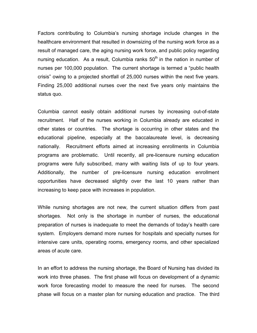Factors contributing to Columbia's nursing shortage include changes in the healthcare environment that resulted in downsizing of the nursing work force as a result of managed care, the aging nursing work force, and public policy regarding nursing education. As a result, Columbia ranks  $50<sup>th</sup>$  in the nation in number of nurses per 100,000 population. The current shortage is termed a "public health crisis" owing to a projected shortfall of 25,000 nurses within the next five years. Finding 25,000 additional nurses over the next five years only maintains the status quo.

Columbia cannot easily obtain additional nurses by increasing out-of-state recruitment. Half of the nurses working in Columbia already are educated in other states or countries. The shortage is occurring in other states and the educational pipeline, especially at the baccalaureate level, is decreasing nationally. Recruitment efforts aimed at increasing enrollments in Columbia programs are problematic. Until recently, all pre-licensure nursing education programs were fully subscribed, many with waiting lists of up to four years. Additionally, the number of pre-licensure nursing education enrollment opportunities have decreased slightly over the last 10 years rather than increasing to keep pace with increases in population.

While nursing shortages are not new, the current situation differs from past shortages. Not only is the shortage in number of nurses, the educational preparation of nurses is inadequate to meet the demands of today's health care system. Employers demand more nurses for hospitals and specialty nurses for intensive care units, operating rooms, emergency rooms, and other specialized areas of acute care.

In an effort to address the nursing shortage, the Board of Nursing has divided its work into three phases. The first phase will focus on development of a dynamic work force forecasting model to measure the need for nurses. The second phase will focus on a master plan for nursing education and practice. The third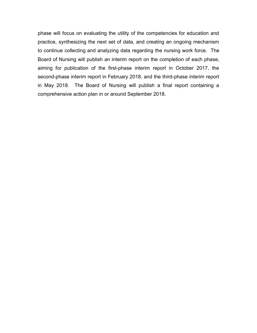phase will focus on evaluating the utility of the competencies for education and practice, synthesizing the next set of data, and creating an ongoing mechanism to continue collecting and analyzing data regarding the nursing work force. The Board of Nursing will publish an interim report on the completion of each phase, aiming for publication of the first-phase interim report in October 2017, the second-phase interim report in February 2018, and the third-phase interim report in May 2018. The Board of Nursing will publish a final report containing a comprehensive action plan in or around September 2018.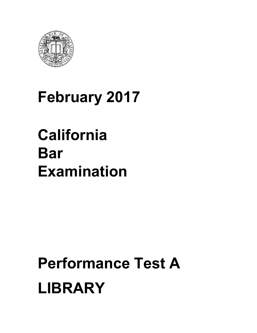

## **February 2017**

## **California Bar Examination**

# **Performance Test A LIBRARY**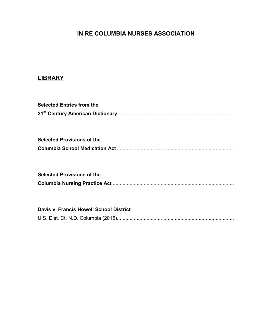## **IN RE COLUMBIA NURSES ASSOCIATION**

### **LIBRARY**

| <b>Selected Entries from the</b>        |
|-----------------------------------------|
|                                         |
| <b>Selected Provisions of the</b>       |
|                                         |
| <b>Selected Provisions of the</b>       |
|                                         |
|                                         |
| Davis v. Francis Howell School District |
|                                         |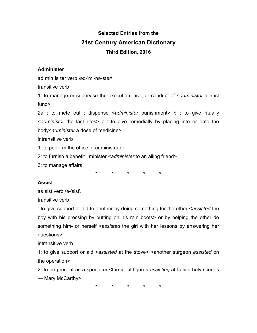## **Selected Entries from the 21st Century American Dictionary Third Edition, 2016**

#### **Administer**

ad·min·is·ter verb \əd-'mi-nə-stər\

transitive verb

1: to manage or supervise the execution, use, or conduct of <*administer* a trust fund>

2a : to mete out : dispense <*administer* punishment> b : to give ritually <*administer* the last rites> c : to give remedially by placing into or onto the body<*administer* a dose of medicine>

intransitive verb

1: to perform the office of administrator

2: to furnish a benefit : minister <*administer* to an ailing friend>

3: to manage affairs

**\* \* \* \* \***

#### **Assist**

as·sist verb \ə-'sist\

transitive verb

: to give support or aid to another by doing something for the other <*assisted* the boy with his dressing by putting on his rain boots> or by helping the other do something him- or herself <*assisted* the girl with her lessons by answering her questions>

intransitive verb

1: to give support or aid <*assisted* at the stove> <another surgeon *assisted* on the operation>

2: to be present as a spectator <the ideal figures *assisting* at Italian holy scenes — Mary McCarthy>

**\* \* \* \* \***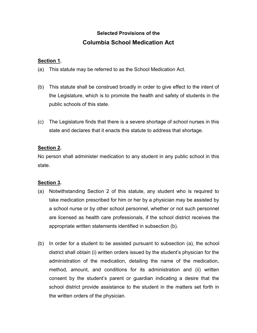## **Selected Provisions of the Columbia School Medication Act**

#### **Section 1.**

- (a) This statute may be referred to as the School Medication Act.
- (b) This statute shall be construed broadly in order to give effect to the intent of the Legislature, which is to promote the health and safety of students in the public schools of this state.
- (c) The Legislature finds that there is a severe shortage of school nurses in this state and declares that it enacts this statute to address that shortage.

#### **Section 2.**

No person shall administer medication to any student in any public school in this state.

#### **Section 3.**

- (a) Notwithstanding Section 2 of this statute, any student who is required to take medication prescribed for him or her by a physician may be assisted by a school nurse or by other school personnel, whether or not such personnel are licensed as health care professionals, if the school district receives the appropriate written statements identified in subsection (b).
- (b) In order for a student to be assisted pursuant to subsection (a), the school district shall obtain (i) written orders issued by the student's physician for the administration of the medication, detailing the name of the medication, method, amount, and conditions for its administration and (ii) written consent by the student's parent or guardian indicating a desire that the school district provide assistance to the student in the matters set forth in the written orders of the physician.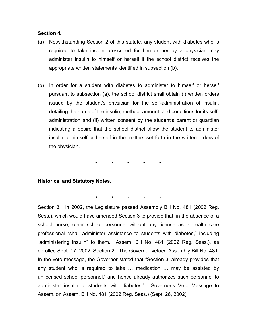#### **Section 4.**

- (a) Notwithstanding Section 2 of this statute, any student with diabetes who is required to take insulin prescribed for him or her by a physician may administer insulin to himself or herself if the school district receives the appropriate written statements identified in subsection (b).
- (b) In order for a student with diabetes to administer to himself or herself pursuant to subsection (a), the school district shall obtain (i) written orders issued by the student's physician for the self-administration of insulin, detailing the name of the insulin, method, amount, and conditions for its selfadministration and (ii) written consent by the student's parent or guardian indicating a desire that the school district allow the student to administer insulin to himself or herself in the matters set forth in the written orders of the physician.

\* \* \* \* \*

#### **Historical and Statutory Notes.**

\* \* \* \* \*

Section 3. In 2002, the Legislature passed Assembly Bill No. 481 (2002 Reg. Sess.), which would have amended Section 3 to provide that, in the absence of a school nurse, other school personnel without any license as a health care professional "shall administer assistance to students with diabetes," including "administering insulin" to them. Assem. Bill No. 481 (2002 Reg. Sess.), as enrolled Sept. 17, 2002, Section 2. The Governor vetoed Assembly Bill No. 481. In the veto message, the Governor stated that "Section 3 'already provides that any student who is required to take … medication … may be assisted by unlicensed school personnel,' and hence already authorizes such personnel to administer insulin to students with diabetes." Governor's Veto Message to Assem. on Assem. Bill No. 481 (2002 Reg. Sess.) (Sept. 26, 2002).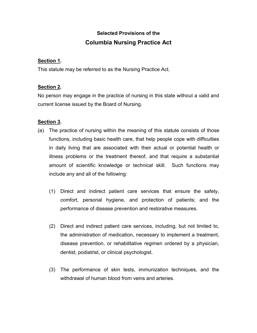## **Selected Provisions of the Columbia Nursing Practice Act**

#### **Section 1.**

This statute may be referred to as the Nursing Practice Act.

#### **Section 2.**

No person may engage in the practice of nursing in this state without a valid and current license issued by the Board of Nursing.

#### **Section 3.**

- (a) The practice of nursing within the meaning of this statute consists of those functions, including basic health care, that help people cope with difficulties in daily living that are associated with their actual or potential health or illness problems or the treatment thereof, and that require a substantial amount of scientific knowledge or technical skill. Such functions may include any and all of the following:
	- (1) Direct and indirect patient care services that ensure the safety, comfort, personal hygiene, and protection of patients; and the performance of disease prevention and restorative measures.
	- (2) Direct and indirect patient care services, including, but not limited to, the administration of medication, necessary to implement a treatment, disease prevention, or rehabilitative regimen ordered by a physician, dentist, podiatrist, or clinical psychologist.
	- (3) The performance of skin tests, immunization techniques, and the withdrawal of human blood from veins and arteries.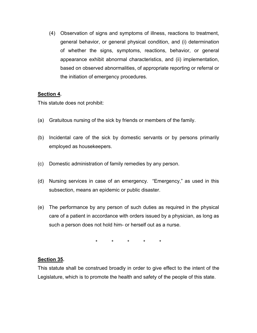(4) Observation of signs and symptoms of illness, reactions to treatment, general behavior, or general physical condition, and (i) determination of whether the signs, symptoms, reactions, behavior, or general appearance exhibit abnormal characteristics, and (ii) implementation, based on observed abnormalities, of appropriate reporting or referral or the initiation of emergency procedures.

#### **Section 4.**

This statute does not prohibit:

- (a) Gratuitous nursing of the sick by friends or members of the family.
- (b) Incidental care of the sick by domestic servants or by persons primarily employed as housekeepers.
- (c) Domestic administration of family remedies by any person.
- (d) Nursing services in case of an emergency. "Emergency," as used in this subsection, means an epidemic or public disaster.
- (e) The performance by any person of such duties as required in the physical care of a patient in accordance with orders issued by a physician, as long as such a person does not hold him- or herself out as a nurse.

\* \* \* \* \*

#### **Section 35.**

This statute shall be construed broadly in order to give effect to the intent of the Legislature, which is to promote the health and safety of the people of this state.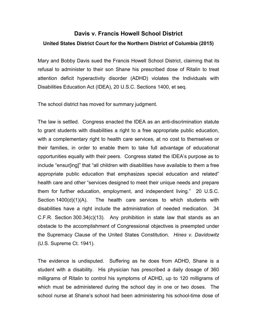## **Davis v. Francis Howell School District United States District Court for the Northern District of Columbia (2015)**

Mary and Bobby Davis sued the Francis Howell School District, claiming that its refusal to administer to their son Shane his prescribed dose of Ritalin to treat attention deficit hyperactivity disorder (ADHD) violates the Individuals with Disabilities Education Act (IDEA), 20 U.S.C. Sections 1400, et seq.

The school district has moved for summary judgment.

The law is settled. Congress enacted the IDEA as an anti-discrimination statute to grant students with disabilities a right to a free appropriate public education, with a complementary right to health care services, at no cost to themselves or their families, in order to enable them to take full advantage of educational opportunities equally with their peers. Congress stated the IDEA's purpose as to include "ensur[ing]" that "all children with disabilities have available to them a free appropriate public education that emphasizes special education and related" health care and other "services designed to meet their unique needs and prepare them for further education, employment, and independent living." 20 U.S.C. Section 1400(d)(1)(A). The health care services to which students with disabilities have a right include the administration of needed medication. 34 C.F.R. Section 300.34(c)(13). Any prohibition in state law that stands as an obstacle to the accomplishment of Congressional objectives is preempted under the Supremacy Clause of the United States Constitution. *Hines v. Davidowitz* (U.S. Supreme Ct. 1941).

The evidence is undisputed. Suffering as he does from ADHD, Shane is a student with a disability. His physician has prescribed a daily dosage of 360 milligrams of Ritalin to control his symptoms of ADHD, up to 120 milligrams of which must be administered during the school day in one or two doses. The school nurse at Shane's school had been administering his school-time dose of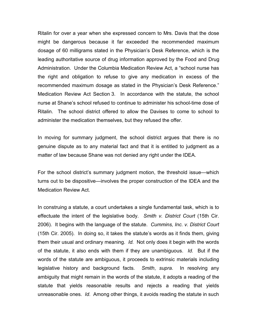Ritalin for over a year when she expressed concern to Mrs. Davis that the dose might be dangerous because it far exceeded the recommended maximum dosage of 60 milligrams stated in the Physician's Desk Reference, which is the leading authoritative source of drug information approved by the Food and Drug Administration. Under the Columbia Medication Review Act, a "school nurse has the right and obligation to refuse to give any medication in excess of the recommended maximum dosage as stated in the Physician's Desk Reference." Medication Review Act Section 3. In accordance with the statute, the school nurse at Shane's school refused to continue to administer his school-time dose of Ritalin. The school district offered to allow the Davises to come to school to administer the medication themselves, but they refused the offer.

In moving for summary judgment, the school district argues that there is no genuine dispute as to any material fact and that it is entitled to judgment as a matter of law because Shane was not denied any right under the IDEA.

For the school district's summary judgment motion, the threshold issue—which turns out to be dispositive—involves the proper construction of the IDEA and the Medication Review Act.

In construing a statute, a court undertakes a single fundamental task, which is to effectuate the intent of the legislative body. *Smith v. District Court* (15th Cir. 2006). It begins with the language of the statute. *Cummins, Inc. v. District Court* (15th Cir. 2005). In doing so, it takes the statute's words as it finds them, giving them their usual and ordinary meaning. *Id.* Not only does it begin with the words of the statute, it also ends with them if they are unambiguous. *Id.* But if the words of the statute are ambiguous, it proceeds to extrinsic materials including legislative history and background facts. *Smith*, *supra*. In resolving any ambiguity that might remain in the words of the statute, it adopts a reading of the statute that yields reasonable results and rejects a reading that yields unreasonable ones. *Id*. Among other things, it avoids reading the statute in such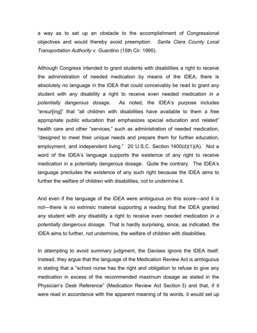a way as to set up an obstacle to the accomplishment of Congressional objectives and would thereby avoid preemption. *Santa Clara County Local Transportation Authority v. Guardino* (15th Cir. 1995).

Although Congress intended to grant students with disabilities a right to receive the administration of needed medication by means of the IDEA, there is absolutely *no* language in the IDEA that could conceivably be read to grant *any* student with *any* disability a right to receive even needed medication *in a potentially dangerous dosage*. As noted, the IDEA's purpose includes "ensur[ing]" that "all children with disabilities have available to them a free appropriate public education that emphasizes special education and related" health care and other "services," such as administration of needed medication, "designed to meet their unique needs and prepare them for further education, employment, and independent living." 20 U.S.C. Section 1400(d)(1)(A). Not a word of the IDEA's language supports the existence of any right to receive medication in a potentially dangerous dosage. Quite the contrary. The IDEA's language precludes the existence of any such right because the IDEA aims to further the welfare of children with disabilities, not to undermine it.

And even if the language of the IDEA were ambiguous on this score—and it is not—there is *no* extrinsic material supporting a reading that the IDEA granted *any* student with *any* disability a right to receive even needed medication *in a potentially dangerous dosage*. That is hardly surprising, since, as indicated, the IDEA aims to further, not undermine, the welfare of children with disabilities.

In attempting to avoid summary judgment, the Davises ignore the IDEA itself. Instead, they argue that the language of the Medication Review Act is ambiguous in stating that a "school nurse has the right and obligation to refuse to give any medication in excess of the recommended maximum dosage as stated in the Physician's Desk Reference" (Medication Review Act Section 3) and that, if it were read in accordance with the apparent meaning of its words, it would set up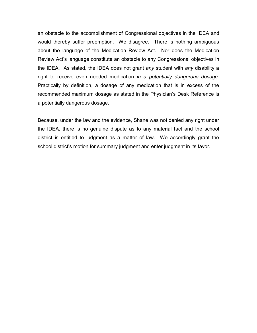an obstacle to the accomplishment of Congressional objectives in the IDEA and would thereby suffer preemption. We disagree. There is nothing ambiguous about the language of the Medication Review Act. Nor does the Medication Review Act's language constitute an obstacle to any Congressional objectives in the IDEA. As stated, the IDEA does not grant *any* student with *any* disability a right to receive even needed medication *in a potentially dangerous dosage.* Practically by definition, a dosage of any medication that is in excess of the recommended maximum dosage as stated in the Physician's Desk Reference is a potentially dangerous dosage.

Because, under the law and the evidence, Shane was not denied any right under the IDEA, there is no genuine dispute as to any material fact and the school district is entitled to judgment as a matter of law. We accordingly grant the school district's motion for summary judgment and enter judgment in its favor.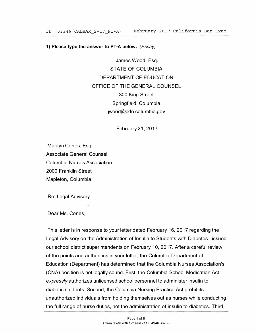#### **1) Please type the answer to PT-A below.** *(Essay)*

James Wood, Esq. STATE OF COLUMBIA DEPARTMENT OF EDUCATION OFFICE OF THE GENERAL COUNSEL 300 King Street Springfield, Columbia jwood@cde.columbia.gov

February 21, 2017

Marilyn Cones, Esq. Associate General Counsel Columbia Nurses Association 2000 Franklin Street Mapleton, Columbia

Re: Legal Advisory

Dear Ms. Cones,

This letter is in response to your letter dated February 16, 2017 regarding the Legal Advisory on the Administration of Insulin to Students with Diabetes I issued our school district superintendents on February 10, 2017. After a careful review of the points and authorities in your letter, the Columbia Department of Education (Department) has determined that the Columbia Nurses Association's (CNA) position is not legally sound. First, the Columbia School Medication Act *expressly* authorizes unlicensed school personnel to administer insulin to diabetic students. Second, the Columbia Nursing Practice Act prohibits unauthorized individuals from holding themselves out as nurses while conducting the full range of nurse duties, not the administration of insulin to diabetics. Third,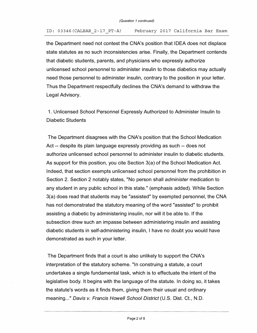#### ID: 03346(CALBAR 2-17 PT-A) February 2017 California Bar Exam

the Department need not contest the CNA's position that IDEA does not displace state statutes as no such inconsistencies arise. Finally, the Department contends that diabetic students, parents, and physicians who expressly authorize unlicensed school personnel to administer insulin to those diabetics may actually need those personnel to administer insulin, contrary to the position in your letter. Thus the Department respectfully declines the CNA's demand to withdraw the Legal Advisory.

1. Unlicensed School Personnel Expressly Authorized to Administer Insulin to Diabetic Students

The Department disagrees with the CNA's position that the School Medication Act -- despite its plain language expressly providing as such -- does not authorize unlicensed school personnel to administer insulin to diabetic students. As support for this position, you cite Section 3(a) of the School Medication Act. Indeed, that section exempts unlicensed school personnel from the prohibition in Section 2. Section 2 notably states, "No person shall *administer* medication to any student in any public school in this state." (emphasis added). While Section 3(a) does read that students may be "assisted" by exempted personnel, the CNA has not demonstrated the statutory meaning of the word "assisted" to prohibit assisting a diabetic by administering insulin, nor will it be able to. If the subsection drew such an impasse between administering insulin and assisting diabetic students in self-administering insulin, I have no doubt you would have demonstrated as such in your letter.

The Department finds that a court is also unlikely to support the CNA's interpretation of the statutory scheme. "In construing a statute, a court undertakes a single fundamental task, which is to effectuate the intent of the legislative body. It begins with the language of the statute. In doing so, it takes the statute's words as it finds them, giving them their usual and ordinary meaning..." Davis v. Francis Howell School District (U.S. Dist. Ct., N.D.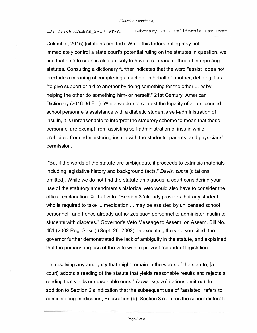#### ID: 03346(CALBAR 2-17 PT-A) February 2017 California Bar Exam

Columbia, 2015) (citations omitted). While this federal ruling may not immediately control a state court's potential ruling on the statutes in question, we find that a state court is also unlikely to have a contrary method of interpreting statutes. Consulting a dictionary further indicates that the word "assist" does not preclude a meaning of completing an action on behalf of another, defining it as "to give support or aid to another by doing something for the other ... *or* by helping the other do something him- or herself." 21st Century, American Dictionary (2016 3d Ed.). While we do not contest the legality of an unlicensed school personnel's assistance with a diabetic student's self-administration of insulin, it is unreasonable to interpret the statutory scheme to mean that those personnel are exempt from assisting self-administration of insulin while prohibited from administering insulin with the students, parents, and physicians' permission.

"But if the words of the statute are ambiguous, it proceeds to extrinsic materials including legislative history and background facts." *Davis, supra* (citations omitted). While we do not find the statute ambiguous, a court considering your use of the statutory amendment's historical veto would also have to consider the official explanation for that veto. "Section 3 'already provides that any student who is required to take ... medication ... may be assisted by unlicensed school personnel, ' and hence already authorizes such personnel to administer insulin to students with diabetes." Governor's Veto Message to Assem. on Assem. Bill No. 481 (2002 Reg. Sess.) (Sept. 26, 2002). In executing the veto you cited, the governor further demonstrated the lack of ambiguity in the statute, and explained that the primary purpose of the veto was to prevent redundant legislation.

"In resolving any ambiguity that might remain in the words of the statute, [a court] adopts a reading of the statute that yields reasonable results and rejects a reading that yields unreasonable ones." *Davis, supra* (citations omitted). In addition to Section 2's indication that the subsequent use of "assisted" refers to administering medication, Subsection (b), Section 3 requires the school district to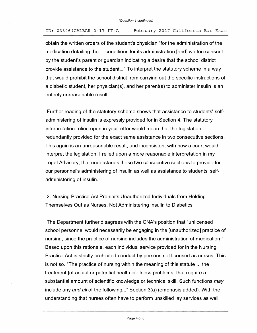#### ID: 03346(CALBAR 2-17 PT-A) February 2017 California Bar Exam

obtain the written orders of the student's physician "for the administration of the medication detailing the ... conditions for its administration [and] written consent by the student's parent or guardian indicating a desire that the school district provide assistance to the student. .. " To interpret the statutory scheme in a way that would prohibit the school district from carrying out the specific instructions of a diabetic student, her physician(s), and her parent(s) to administer insulin is an entirely unreasonable result.

Further reading of the statutory scheme shows that assistance to students' selfadministering of insulin is expressly provided for in Section 4. The statutory interpretation relied upon in your letter would mean that the legislation redundantly provided for the exact same assistance in two consecutive sections. This again is an unreasonable result, and inconsistent with how a court would interpret the legislation. I relied upon a more reasonable interpretation in my Legal Advisory, that understands these two consecutive sections to provide for our personnel's administering of insulin as well as assistance to students' selfadministering of insulin.

2. Nursing Practice Act Prohibits Unauthorized Individuals from Holding Themselves Out as Nurses, Not Administering Insulin to Diabetics

The Department further disagrees with the CNA's position that "unlicensed school personnel would necessarily be engaging in the [unauthorized] practice of nursing, since the practice of nursing includes the administration of medication." Based upon this rationale, each individual service provided for in the Nursing Practice Act is strictly prohibited conduct by persons not licensed as nurses. This is not so. "The practice of nursing within the meaning of this statute ... the treatment [of actual or potential health or illness problems] that require a substantial amount of scientific knowledge or technical skill. Such functions *may*  include any *and all* of the following..." Section 3(a) (emphasis added). With the understanding that nurses often have to perform unskilled lay services as well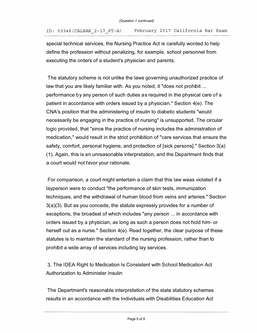ID: 03 346(CALBAR\_2-17\_PT-A) February 2 017 California Bar Exam

special technical services, the Nursing Practice Act is carefully worded to help define the profession without penalizing, for example, school personnel from executing the orders of a student's physician and parents.

The statutory scheme is not unlike the laws governing unauthorized practice of law that you are likely familiar with. As you noted, it "does not prohibit ... performance by any person of such duties as required in the physical care of a patient in accordance with orders issued by a physician." Section 4(e). The CNA's position that the administering of insulin to diabetic students "would necessarily be engaging in the practice of nursing" is unsupported. The circular logic provided, that "since the practice of nursing includes the administration of medication," would result in the strict prohibition of "care services that ensure the safety, comfort, personal hygiene, and protection of [sick persons]." Section 3(a) (1 ). Again, this is an unreasonable interpretation, and the Department finds that a court would not favor your rationale.

For comparison, a court might entertain a claim that this law waas violated if a layperson were to conduct "the performance of skin tests, immunization techniques, and the withdrawal of human blood from veins and arteries." Section 3(a)(3). But as you concede, the statute expressly provides for a number of exceptions, the broadest of which includes "any person ... in accordance with orders issued by a physician, as long as such a person does not hold him- or herself out as a nurse." Section 4(e). Read together, the clear purpose of these statutes is to maintain the standard of the nursing profession, rather than to prohibit a wide array of services including lay services.

3. The IDEA Right to Medication Is Consistent with School Medication Act Authorization to Administer Insulin

The Department's reasonable interpretation of the state statutory schemes results in an accordance with the Individuals with Disabilities Education Act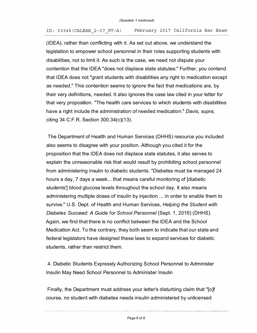#### ID: 03346(CALBAR\_2-17 PT-A) February 2017 California Bar Exam

(IDEA), rather than conflicting with it. As set out above, we understand the legislation to empower school personnel in their roles supporting students with disabilities, not to limit it. As such is the case, we need not dispute your contention that the IDEA "does not displace state statutes." Further, you contend that IDEA does not "grant students with disabilities any right to medication except as needed." This contention seems to ignore the fact that medications are, by their very definitions, needed. It also ignores the case law cited in your letter for that very proposition. "The health care services to which students with disabilities have a right include the administration of needed medication." *Davis, supra,*  citing 34 C.F.R. Section  $300.34(c)(13)$ .

The Department of Health and Human Services (DHHS) resource you included also seems to disagree with your position. Although you cited it for the proposition that the IDEA does not displace state statutes, it also serves to explain the unreasonable risk that would result by prohibiting school personnel from administering insulin to diabetic students. "Diabetes must be managed 24 hours a day, 7 days a week... that means careful monitoring of [diabetic] students'] blood glucose levels throughout the school day. It also means administering multiple doses of insulin by injection ... in order to enable them to survive." U.S. Dept. of Health and Human Services, *Helping the Student with Diabetes Succeed: A Guide for School Personnel (Sept. 1, 2016) (DHHS).* Again, we find that there is no conflict between the IDEA and the School Medication Act. To the contrary, they both seem to indicate that our state and federal legislators have designed these laws to expand services for diabetic students, rather than restrict them.

4. Diabetic Students Expressly Authorizing School Personnel to Administer Insulin May Need School Personnel to Administer Insulin

Finally, the Department must address your letter's disturbing claim that "[o]f course, no student with diabetes needs insulin administered by unlicensed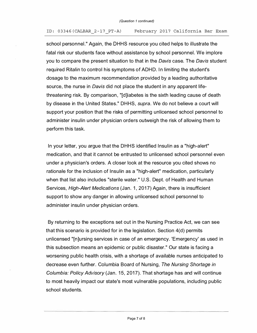#### ID: 03 346(CALBAR\_2-17 PT-A) February 2017 California Bar Exam

school personnel." Again, the DHHS resource you cited helps to illustrate the fatal risk our students face without assistance by school personnel. We implore you to compare the present situation to that in the *Davis* case. The *Davis* student required Ritalin to control his symptoms of ADHD. In limiting the student's dosage to the maximum recommendation provided by a leading authoritative source, the nurse in *Davis* did not place the student in any apparent lifethreatening risk. By comparison, "[d]iabetes is the sixth leading cause of death by disease in the United States." DH HS, *supra.* We do not believe a court will support your position that the risks of permitting unlicensed school personnel to administer insulin under physician orders outweigh the risk of allowing them to perform this task.

In your letter, you argue that the DHHS identified Insulin as a "high-alert" medication, and that it cannot be entrusted to unlicensed school personnel even under a physician's orders. A closer look at the resource you cited shows no rationale for the inclusion of Insulin as a "high-alert" medication, particularly when that list also includes "sterile water." U.S. Dept. of Health and Human Services, *High-Alert Medications* (Jan. 1, 2017) Again, there is insufficient support to show any danger in allowing unlicensed school personnel to administer insulin under physician orders.

By returning to the exceptions set out in the Nursing Practice Act, we can see that this scenario is provided for in the legislation. Section 4(d) permits unlicensed "[n]ursing services in case of an emergency. 'Emergency' as used in this subsection means an epidemic or public disaster." Our state is facing a worsening public health crisis, with a shortage of available nurses anticipated to decrease even further. Columbia Board of Nursing, *The Nursing Shortage in Columbia: Policy Advisory (Jan. 15, 2017). That shortage has and will continue* to most heavily impact our state's most vulnerable populations, including public school students.